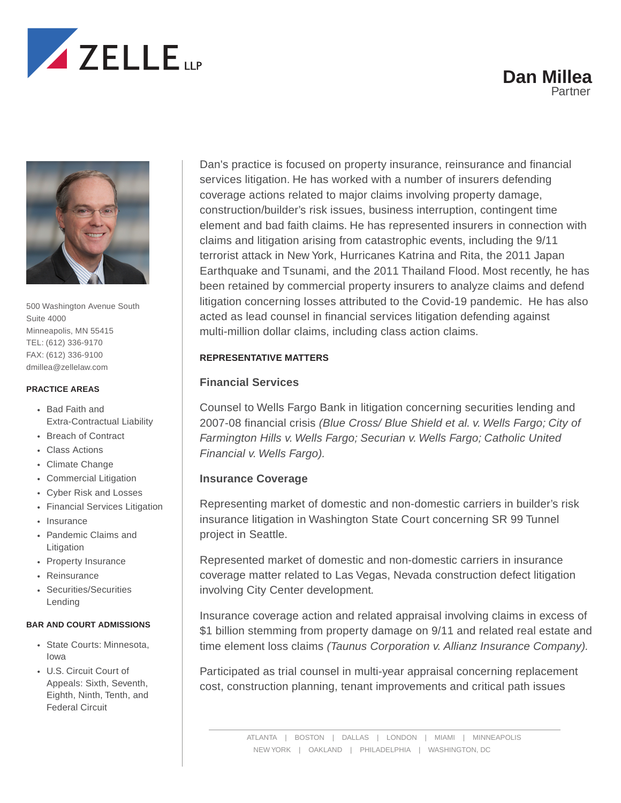





500 Washington Avenue South Suite 4000 Minneapolis, MN 55415 TEL: (612) 336-9170 FAX: (612) 336-9100 dmillea@zellelaw.com

#### **PRACTICE AREAS**

- Bad Faith and Extra-Contractual Liability
- Breach of Contract
- Class Actions
- Climate Change
- Commercial Litigation
- Cyber Risk and Losses
- Financial Services Litigation
- Insurance
- Pandemic Claims and Litigation
- Property Insurance
- Reinsurance
- Securities/Securities Lending

#### **BAR AND COURT ADMISSIONS**

- State Courts: Minnesota, Iowa
- U.S. Circuit Court of Appeals: Sixth, Seventh, Eighth, Ninth, Tenth, and Federal Circuit

Dan's practice is focused on property insurance, reinsurance and financial services litigation. He has worked with a number of insurers defending coverage actions related to major claims involving property damage, construction/builder's risk issues, business interruption, contingent time element and bad faith claims. He has represented insurers in connection with claims and litigation arising from catastrophic events, including the 9/11 terrorist attack in New York, Hurricanes Katrina and Rita, the 2011 Japan Earthquake and Tsunami, and the 2011 Thailand Flood. Most recently, he has been retained by commercial property insurers to analyze claims and defend litigation concerning losses attributed to the Covid-19 pandemic. He has also acted as lead counsel in financial services litigation defending against multi-million dollar claims, including class action claims.

#### **REPRESENTATIVE MATTERS**

#### **Financial Services**

Counsel to Wells Fargo Bank in litigation concerning securities lending and 2007-08 financial crisis *(Blue Cross/ Blue Shield et al. v. Wells Fargo; City of Farmington Hills v. Wells Fargo; Securian v. Wells Fargo; Catholic United Financial v. Wells Fargo).*

#### **Insurance Coverage**

Representing market of domestic and non-domestic carriers in builder's risk insurance litigation in Washington State Court concerning SR 99 Tunnel project in Seattle.

Represented market of domestic and non-domestic carriers in insurance coverage matter related to Las Vegas, Nevada construction defect litigation involving City Center development*.*

Insurance coverage action and related appraisal involving claims in excess of \$1 billion stemming from property damage on 9/11 and related real estate and time element loss claims *(Taunus Corporation v. Allianz Insurance Company).*

Participated as trial counsel in multi-year appraisal concerning replacement cost, construction planning, tenant improvements and critical path issues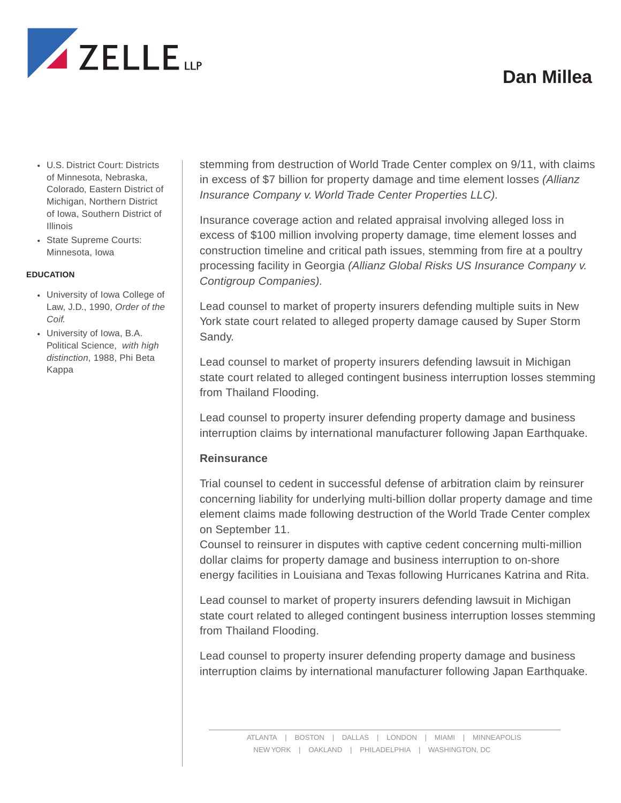

- U.S. District Court: Districts of Minnesota, Nebraska, Colorado, Eastern District of Michigan, Northern District of Iowa, Southern District of Illinois
- State Supreme Courts: Minnesota, Iowa

### **EDUCATION**

- University of Iowa College of Law, J.D., 1990, *Order of the Coif.*
- University of Iowa, B.A. Political Science, *with high distinction*, 1988, Phi Beta Kappa

stemming from destruction of World Trade Center complex on 9/11, with claims in excess of \$7 billion for property damage and time element losses *(Allianz Insurance Company v. World Trade Center Properties LLC).*

Insurance coverage action and related appraisal involving alleged loss in excess of \$100 million involving property damage, time element losses and construction timeline and critical path issues, stemming from fire at a poultry processing facility in Georgia *(Allianz Global Risks US Insurance Company v. Contigroup Companies).*

Lead counsel to market of property insurers defending multiple suits in New York state court related to alleged property damage caused by Super Storm Sandy.

Lead counsel to market of property insurers defending lawsuit in Michigan state court related to alleged contingent business interruption losses stemming from Thailand Flooding.

Lead counsel to property insurer defending property damage and business interruption claims by international manufacturer following Japan Earthquake.

### **Reinsurance**

Trial counsel to cedent in successful defense of arbitration claim by reinsurer concerning liability for underlying multi-billion dollar property damage and time element claims made following destruction of the World Trade Center complex on September 11.

Counsel to reinsurer in disputes with captive cedent concerning multi-million dollar claims for property damage and business interruption to on-shore energy facilities in Louisiana and Texas following Hurricanes Katrina and Rita.

Lead counsel to market of property insurers defending lawsuit in Michigan state court related to alleged contingent business interruption losses stemming from Thailand Flooding.

Lead counsel to property insurer defending property damage and business interruption claims by international manufacturer following Japan Earthquake.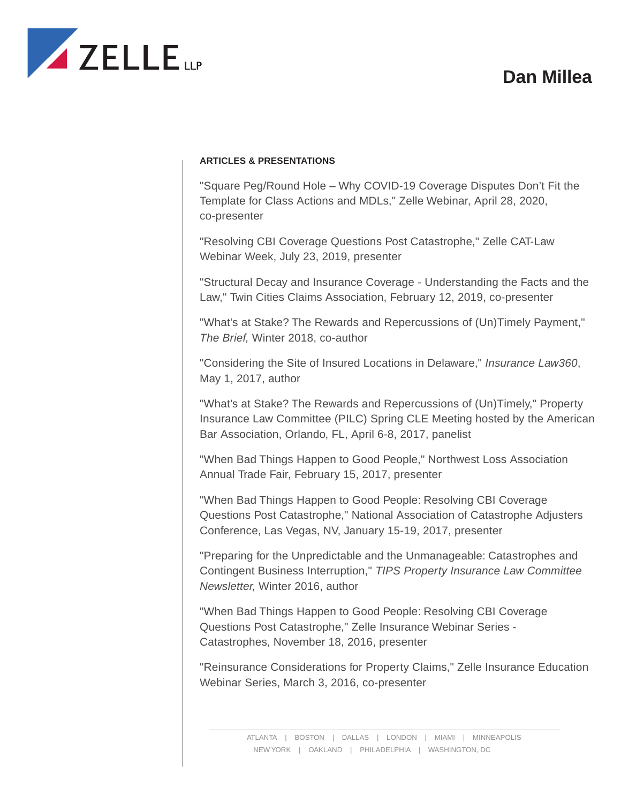

### **ARTICLES & PRESENTATIONS**

"Square Peg/Round Hole – Why COVID-19 Coverage Disputes Don't Fit the Template for Class Actions and MDLs," Zelle Webinar, April 28, 2020, co-presenter

"Resolving CBI Coverage Questions Post Catastrophe," Zelle CAT-Law Webinar Week, July 23, 2019, presenter

"Structural Decay and Insurance Coverage - Understanding the Facts and the Law," Twin Cities Claims Association, February 12, 2019, co-presenter

"What's at Stake? The Rewards and Repercussions of (Un)Timely Payment," *The Brief,* Winter 2018, co-author

"Considering the Site of Insured Locations in Delaware," *Insurance Law360*, May 1, 2017, author

"What's at Stake? The Rewards and Repercussions of (Un)Timely," Property Insurance Law Committee (PILC) Spring CLE Meeting hosted by the American Bar Association, Orlando, FL, April 6-8, 2017, panelist

"When Bad Things Happen to Good People," Northwest Loss Association Annual Trade Fair, February 15, 2017, presenter

"When Bad Things Happen to Good People: Resolving CBI Coverage Questions Post Catastrophe," National Association of Catastrophe Adjusters Conference, Las Vegas, NV, January 15-19, 2017, presenter

"Preparing for the Unpredictable and the Unmanageable: Catastrophes and Contingent Business Interruption," *TIPS Property Insurance Law Committee Newsletter,* Winter 2016, author

"When Bad Things Happen to Good People: Resolving CBI Coverage Questions Post Catastrophe," Zelle Insurance Webinar Series - Catastrophes, November 18, 2016, presenter

"Reinsurance Considerations for Property Claims," Zelle Insurance Education Webinar Series, March 3, 2016, co-presenter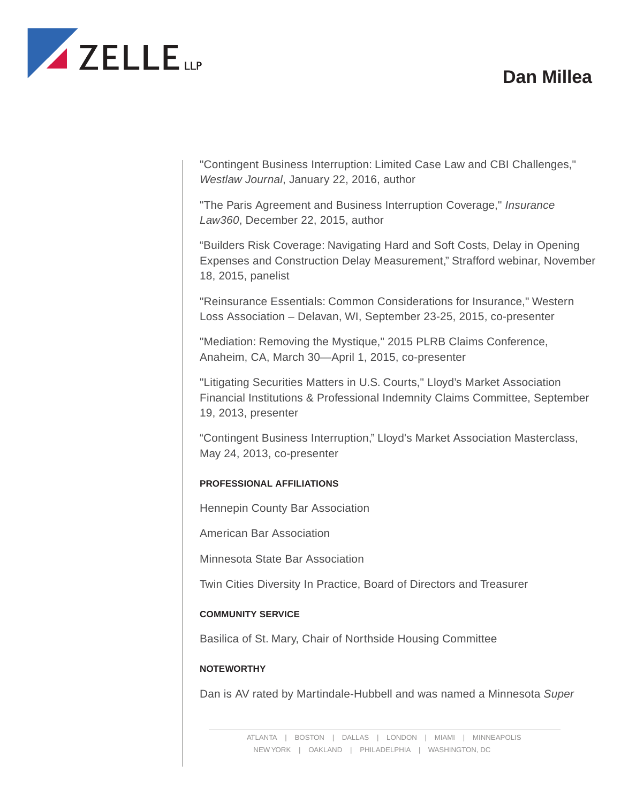

"Contingent Business Interruption: Limited Case Law and CBI Challenges," *Westlaw Journal*, January 22, 2016, author

"The Paris Agreement and Business Interruption Coverage," *Insurance Law360*, December 22, 2015, author

"Builders Risk Coverage: Navigating Hard and Soft Costs, Delay in Opening Expenses and Construction Delay Measurement," Strafford webinar, November 18, 2015, panelist

"Reinsurance Essentials: Common Considerations for Insurance," Western Loss Association – Delavan, WI, September 23-25, 2015, co-presenter

"Mediation: Removing the Mystique," 2015 PLRB Claims Conference, Anaheim, CA, March 30—April 1, 2015, co-presenter

"Litigating Securities Matters in U.S. Courts," Lloyd's Market Association Financial Institutions & Professional Indemnity Claims Committee, September 19, 2013, presenter

"Contingent Business Interruption," Lloyd's Market Association Masterclass, May 24, 2013, co-presenter

## **PROFESSIONAL AFFILIATIONS**

Hennepin County Bar Association

American Bar Association

Minnesota State Bar Association

Twin Cities Diversity In Practice, Board of Directors and Treasurer

## **COMMUNITY SERVICE**

Basilica of St. Mary, Chair of Northside Housing Committee

## **NOTEWORTHY**

Dan is AV rated by Martindale-Hubbell and was named a Minnesota *Super*